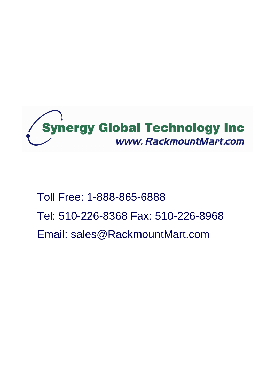

# Toll Free: 1-888-865-6888 Tel: 510-226-8368 Fax: 510-226-8968 Email: sales@RackmountMart.com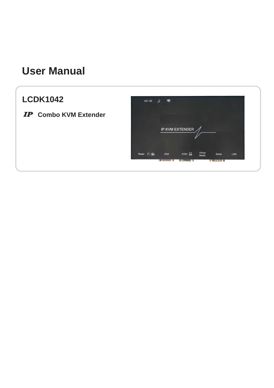# **User Manual**

# **LCDK1042**

**IP** Combo KVM Extender

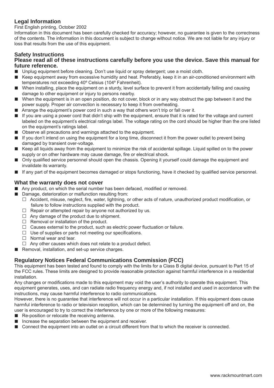#### **Legal Information**

First English printing, October 2002

Information in this document has been carefully checked for accuracy; however, no guarantee is given to the correctness of the contents. The information in this document is subject to change without notice. We are not liable for any injury or loss that results from the use of this equipment.

#### **Safety Instructions**

#### **Please read all of these instructions carefully before you use the device. Save this manual for future reference.**

- Unplug equipment before cleaning. Don't use liquid or spray detergent; use a moist cloth.
- Keep equipment away from excessive humidity and heat. Preferably, keep it in an air-conditioned environment with temperatures not exceeding 40º Celsius (104º Fahrenheit).
- When installing, place the equipment on a sturdy, level surface to prevent it from accidentally falling and causing damage to other equipment or injury to persons nearby.
- When the equipment is in an open position, do not cover, block or in any way obstruct the gap between it and the power supply. Proper air convection is necessary to keep it from overheating.
- Arrange the equipment's power cord in such a way that others won't trip or fall over it.
- If you are using a power cord that didn't ship with the equipment, ensure that it is rated for the voltage and current labeled on the equipment's electrical ratings label. The voltage rating on the cord should be higher than the one listed on the equipment's ratings label.
- Observe all precautions and warnings attached to the equipment.
- If you don't intend on using the equipment for a long time, disconnect it from the power outlet to prevent being damaged by transient over-voltage.
- Keep all liquids away from the equipment to minimize the risk of accidental spillage. Liquid spilled on to the power supply or on other hardware may cause damage, fire or electrical shock.
- Only qualified service personnel should open the chassis. Opening it yourself could damage the equipment and invalidate its warranty.
- If any part of the equipment becomes damaged or stops functioning, have it checked by qualified service personnel.

#### **What the warranty does not cover**

- Any product, on which the serial number has been defaced, modified or removed.
- Damage, deterioration or malfunction resulting from:
	- $\Box$  Accident, misuse, neglect, fire, water, lightning, or other acts of nature, unauthorized product modification, or failure to follow instructions supplied with the product.
	- $\Box$  Repair or attempted repair by anyone not authorized by us.
	- $\Box$  Any damage of the product due to shipment.
	- $\Box$  Removal or installation of the product.
	- $\Box$  Causes external to the product, such as electric power fluctuation or failure.
	- $\Box$  Use of supplies or parts not meeting our specifications.
	- $\Box$  Normal wear and tear.
	- $\Box$  Any other causes which does not relate to a product defect.
- Removal, installation, and set-up service charges.

#### **Regulatory Notices Federal Communications Commission (FCC)**

This equipment has been tested and found to comply with the limits for a Class B digital device, pursuant to Part 15 of the FCC rules. These limits are designed to provide reasonable protection against harmful interference in a residential installation.

Any changes or modifications made to this equipment may void the user's authority to operate this equipment. This equipment generates, uses, and can radiate radio frequency energy and, if not installed and used in accordance with the instructions, may cause harmful interference to radio communications.

However, there is no guarantee that interference will not occur in a particular installation. If this equipment does cause harmful interference to radio or television reception, which can be determined by turning the equipment off and on, the user is encouraged to try to correct the interference by one or more of the following measures:

- Re-position or relocate the receiving antenna.
- Increase the separation between the equipment and receiver.
- Connect the equipment into an outlet on a circuit different from that to which the receiver is connected.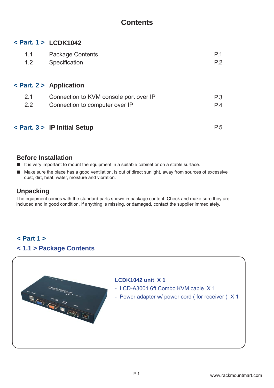# **Contents**

### **< Part. 1 > LCDK1042**

| 1.1 | <b>Package Contents</b>                | P.1            |
|-----|----------------------------------------|----------------|
| 1.2 | Specification                          | P <sub>2</sub> |
|     |                                        |                |
|     | $\epsilon$ Part. 2 > Application       |                |
| 2.1 | Connection to KVM console port over IP | P.3            |
| 2.2 | Connection to computer over IP         | P.4            |
|     |                                        |                |
|     | $\epsilon$ Part. 3 > IP Initial Setup  | P.5            |

#### **Before Installation**

- It is very important to mount the equipment in a suitable cabinet or on a stable surface.
- Make sure the place has a good ventilation, is out of direct sunlight, away from sources of excessive dust, dirt, heat, water, moisture and vibration.

# **Unpacking**

The equipment comes with the standard parts shown in package content. Check and make sure they are included and in good condition. If anything is missing, or damaged, contact the supplier immediately.

# **< 1.1 > Package Contents < Part 1 >**

#### **LCDK1042 unit X 1**

- LCD-A3001 6ft Combo KVM cable X 1
- Power adapter w/ power cord ( for receiver ) X 1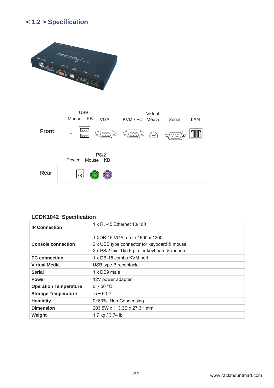# **< 1.2 > Specifi cation**





#### **LCDK1042 Specification**

| <b>IP Connection</b>         | 1 x RJ-45 Ethernet 10/100                                                                                                      |
|------------------------------|--------------------------------------------------------------------------------------------------------------------------------|
| <b>Console connection</b>    | 1 XDB-15 VGA, up to 1600 x 1200<br>2 x USB type connector for keyboard & mouse<br>2 x PS/2 mini Din 6-pin for keyboard & mouse |
| <b>PC</b> connection         | 1 x DB-15 combo KVM port                                                                                                       |
| <b>Virtual Media</b>         | USB type B receptacle                                                                                                          |
| <b>Serial</b>                | 1 x DB9 male                                                                                                                   |
| <b>Power</b>                 | 12V power adapter                                                                                                              |
| <b>Operation Temperature</b> | $0 \sim 50$ °C                                                                                                                 |
| <b>Storage Temperature</b>   | $-5 \sim 60 °C$                                                                                                                |
| <b>Humidity</b>              | 0~80%, Non-Condensing                                                                                                          |
| <b>Dimension</b>             | 203.5W x 113.3D x 27.3H mm                                                                                                     |
| Weight                       | 1.7 kg / 3.74 lb                                                                                                               |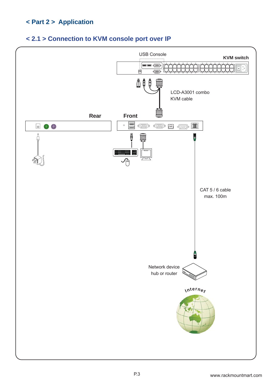# **< Part 2 > Application**

## **< 2.1 > Connection to KVM console port over IP**

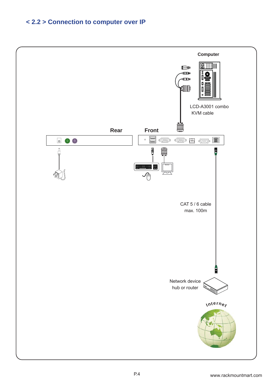# **< 2.2 > Connection to computer over IP**

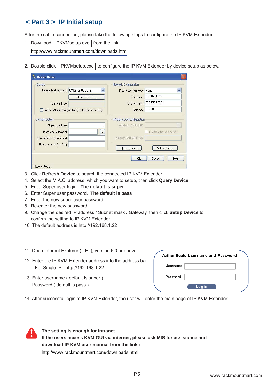# **< Part 3 > IP Initial setup**

After the cable connection, please take the following steps to configure the IP KVM Extender :

1. Download **IPKVMsetup.exe** from the link:

http://www.rackmountmart.com/downloads.html

2. Double click IPKVMsetup.exe to configure the IP KVM Extender by device setup as below.

| Device                  |                                               | Network Configuration      |                              |
|-------------------------|-----------------------------------------------|----------------------------|------------------------------|
| Device MAC address      | $\ddot{\phantom{1}}$<br>C8:EE:08:00:00:7E     | IP auto configuration      | $\ddot{\phantom{1}}$<br>None |
|                         | <b>Refresh Devices</b>                        | IP address                 | 192.168.1.22                 |
| Device Type             |                                               | Subnet mask                | 255.255.255.0                |
|                         | Enable WLAN Configuration (WLAN Devices only) | Gateway                    | 0.0.0.0                      |
| Authentication          |                                               | Wireless LAN Configuration |                              |
| Super user login        |                                               | Wireless LAN ESSID         | $\sim$                       |
| Super user password     | $\overline{?}$                                |                            | Enable WEP encryption        |
| New super user password |                                               | Wireless LAN WEP Key       |                              |
| New password (confirm)  |                                               |                            |                              |
|                         |                                               | Query Device               | Setup Device                 |
|                         |                                               | OK                         | Help<br>Cancel               |

- 3. Click **Refresh Device** to search the connected IP KVM Extender
- 4. Select the M.A.C. address, which you want to setup, then click **Query Device**
- 5. Enter Super user login. **The default is super**
- 6. Enter Super user password. **The default is pass**
- 7. Enter the new super user password
- 8. Re-enter the new password
- 9. Change the desired IP address / Subnet mask / Gateway, then click **Setup Device** to confirm the setting to IP KVM Extender
- 10. The default address is http://192.168.1.22
- 11. Open Internet Explorer ( I.E. ), version 6.0 or above
- 12. Enter the IP KVM Extender address into the address bar - For Single IP - http://192.168.1.22
- 13. Enter username ( default is super ) Password ( default is pass )

|          | Authenticate Username and Password! |
|----------|-------------------------------------|
| Username |                                     |
| Password |                                     |
|          | Login                               |

14. After successful login to IP KVM Extender, the user will enter the main page of IP KVM Extender



**The setting is enough for intranet. If the users access KVM GUI via internet, please ask MIS for assistance and download IP KVM user manual from the link :** http://www.rackmountmart.com/downloads.html